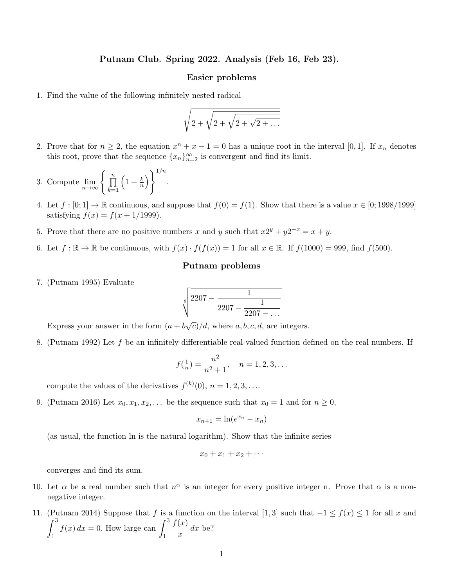## Putnam Club. Spring 2022. Analysis (Feb 16, Feb 23).

## Easier problems

1. Find the value of the following infinitely nested radical

$$
\sqrt{2+\sqrt{2+\sqrt{2+\sqrt{2+\dots}}}}
$$

- 2. Prove that for  $n \geq 2$ , the equation  $x^n + x 1 = 0$  has a unique root in the interval [0, 1]. If  $x_n$  denotes this root, prove that the sequence  ${x_n}_{n=2}^{\infty}$  is convergent and find its limit.
- 3. Compute  $\lim_{n\to\infty} \left\{\prod_{k=1}^n\right\}$  $_{k=1}$  $\left(1+\frac{k}{n}\right)\bigg\}^{1/n}$ .
- 4. Let  $f : [0; 1] \to \mathbb{R}$  continuous, and suppose that  $f(0) = f(1)$ . Show that there is a value  $x \in [0; 1998/1999]$ satisfying  $f(x) = f(x + 1/1999)$ .
- 5. Prove that there are no positive numbers x and y such that  $x2^y + y2^{-x} = x + y$ .
- 6. Let  $f : \mathbb{R} \to \mathbb{R}$  be continuous, with  $f(x) \cdot f(f(x)) = 1$  for all  $x \in \mathbb{R}$ . If  $f(1000) = 999$ , find  $f(500)$ .

## Putnam problems

7. (Putnam 1995) Evaluate

$$
\sqrt[8]{\frac{2207-\frac{1}{2207-\frac{1}{2207-\dots}}}}\\
$$

Express your answer in the form  $(a + b\sqrt{c})/d$ , where a, b, c, d, are integers.

8. (Putnam 1992) Let f be an infinitely differentiable real-valued function defined on the real numbers. If

$$
f(\frac{1}{n}) = \frac{n^2}{n^2 + 1}, \quad n = 1, 2, 3, \dots
$$

compute the values of the derivatives  $f^{(k)}(0), n = 1, 2, 3, \ldots$ 

9. (Putnam 2016) Let  $x_0, x_1, x_2, \ldots$  be the sequence such that  $x_0 = 1$  and for  $n \ge 0$ ,

$$
x_{n+1} = \ln(e^{x_n} - x_n)
$$

(as usual, the function ln is the natural logarithm). Show that the infinite series

$$
x_0+x_1+x_2+\cdots
$$

converges and find its sum.

- 10. Let  $\alpha$  be a real number such that  $n^{\alpha}$  is an integer for every positive integer n. Prove that  $\alpha$  is a nonnegative integer.
- 11. (Putnam 2014) Suppose that f is a function on the interval [1,3] such that  $-1 \le f(x) \le 1$  for all x and  $\int_0^3$ 1  $f(x) dx = 0$ . How large can  $\int_0^3$ 1  $f(x)$  $\frac{d^{(x)}}{dx}$  dx be?